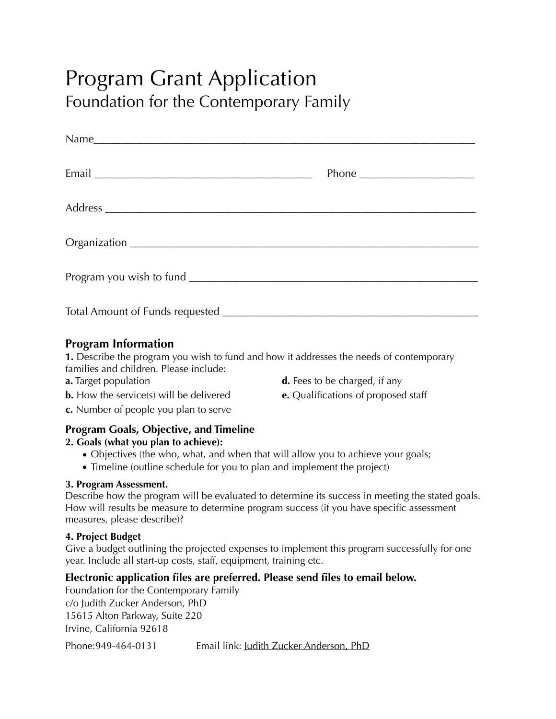# Program Grant Application Foundation for the Contemporary Family

| Phone $\frac{1}{2}$ |
|---------------------|
|                     |
|                     |
|                     |
|                     |

### **Program Information**

**1.** Describe the program you wish to fund and how it addresses the needs of contemporary families and children. Please include:

- 
- **a.** Target population **d.** Fees to be charged, if any
- **b.** How the service(s) will be delivered **e.** Qualifications of proposed staff
- 
- **c.** Number of people you plan to serve

### **Program Goals, Objective, and Timeline**

### **2. Goals (what you plan to achieve):**

- Objectives (the who, what, and when that will allow you to achieve your goals;
- Timeline (outline schedule for you to plan and implement the project)

### **3. Program Assessment.**

Describe how the program will be evaluated to determine its success in meeting the stated goals. How will results be measure to determine program success (if you have specific assessment measures, please describe)?

#### **4. Project Budget**

Give a budget outlining the projected expenses to implement this program successfully for one year. Include all start-up costs, staff, equipment, training etc.

### **Electronic application files are preferred. Please send files to email below.**

Foundation for the Contemporary Family c/o Judith Zucker Anderson, PhD 15615 Alton Parkway, Suite 220 Irvine, California 92618

Phone:949-464-0131 Email link: [Judith Zucker Anderson, PhD](mailto:drjzanderson@gmail.com?subject=Program%20Grant%20Application)